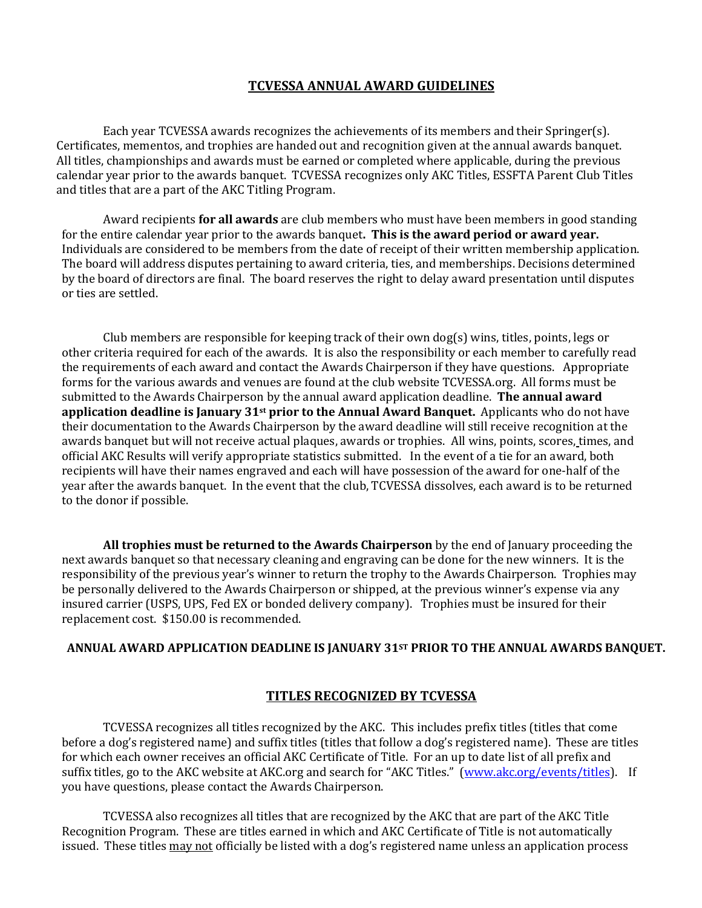#### **TCVESSA ANNUAL AWARD GUIDELINES**

Each year TCVESSA awards recognizes the achievements of its members and their Springer(s). Certificates, mementos, and trophies are handed out and recognition given at the annual awards banquet. All titles, championships and awards must be earned or completed where applicable, during the previous calendar year prior to the awards banquet. TCVESSA recognizes only AKC Titles, ESSFTA Parent Club Titles and titles that are a part of the AKC Titling Program.

Award recipients **for all awards** are club members who must have been members in good standing for the entire calendar year prior to the awards banquet**. This is the award period or award year.**  Individuals are considered to be members from the date of receipt of their written membership application. The board will address disputes pertaining to award criteria, ties, and memberships. Decisions determined by the board of directors are final. The board reserves the right to delay award presentation until disputes or ties are settled.

Club members are responsible for keeping track of their own dog(s) wins, titles, points, legs or other criteria required for each of the awards. It is also the responsibility or each member to carefully read the requirements of each award and contact the Awards Chairperson if they have questions. Appropriate forms for the various awards and venues are found at the club website TCVESSA.org. All forms must be submitted to the Awards Chairperson by the annual award application deadline. **The annual award application deadline is January 31st prior to the Annual Award Banquet.** Applicants who do not have their documentation to the Awards Chairperson by the award deadline will still receive recognition at the awards banquet but will not receive actual plaques, awards or trophies. All wins, points, scores, times, and official AKC Results will verify appropriate statistics submitted. In the event of a tie for an award, both recipients will have their names engraved and each will have possession of the award for one-half of the year after the awards banquet. In the event that the club, TCVESSA dissolves, each award is to be returned to the donor if possible.

**All trophies must be returned to the Awards Chairperson** by the end of January proceeding the next awards banquet so that necessary cleaning and engraving can be done for the new winners. It is the responsibility of the previous year's winner to return the trophy to the Awards Chairperson. Trophies may be personally delivered to the Awards Chairperson or shipped, at the previous winner's expense via any insured carrier (USPS, UPS, Fed EX or bonded delivery company). Trophies must be insured for their replacement cost. \$150.00 is recommended.

#### **ANNUAL AWARD APPLICATION DEADLINE IS JANUARY 31ST PRIOR TO THE ANNUAL AWARDS BANQUET.**

#### **TITLES RECOGNIZED BY TCVESSA**

TCVESSA recognizes all titles recognized by the AKC. This includes prefix titles (titles that come before a dog's registered name) and suffix titles (titles that follow a dog's registered name). These are titles for which each owner receives an official AKC Certificate of Title. For an up to date list of all prefix and suffix titles, go to the AKC website at AKC.org and search for "AKC Titles." [\(www.akc.org/events/titles\)](http://www.akc.org/events/titles). If you have questions, please contact the Awards Chairperson.

TCVESSA also recognizes all titles that are recognized by the AKC that are part of the AKC Title Recognition Program. These are titles earned in which and AKC Certificate of Title is not automatically issued. These titles may not officially be listed with a dog's registered name unless an application process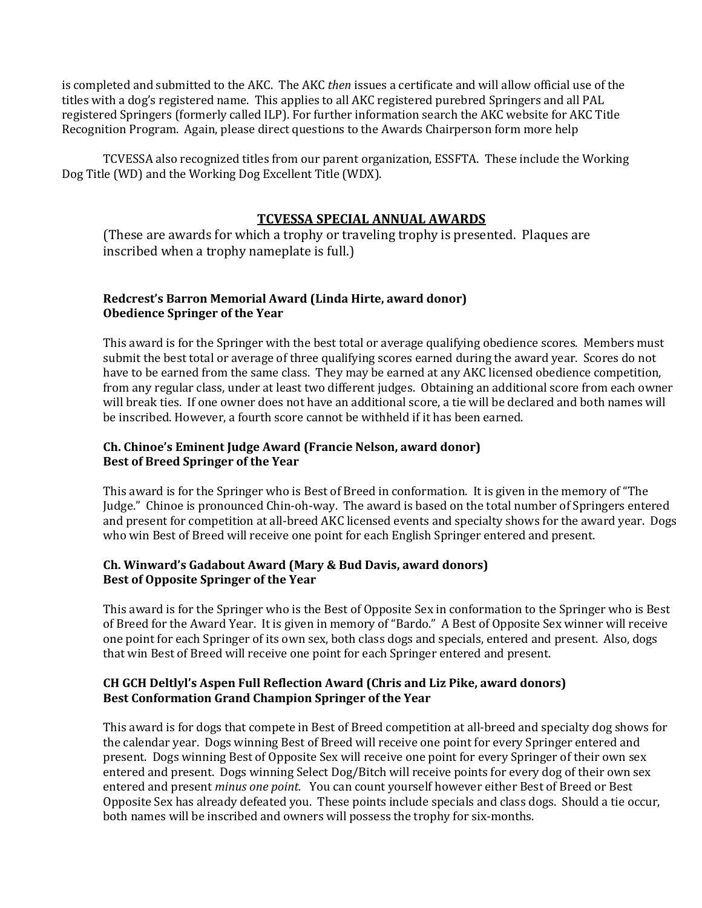is completed and submitted to the AKC. The AKC *then* issues a certificate and will allow official use of the titles with a dog's registered name. This applies to all AKC registered purebred Springers and all PAL registered Springers (formerly called ILP). For further information search the AKC website for AKC Title Recognition Program. Again, please direct questions to the Awards Chairperson form more help

TCVESSA also recognized titles from our parent organization, ESSFTA. These include the Working Dog Title (WD) and the Working Dog Excellent Title (WDX).

# **TCVESSA SPECIAL ANNUAL AWARDS**

(These are awards for which a trophy or traveling trophy is presented. Plaques are inscribed when a trophy nameplate is full.)

# **Redcrest's Barron Memorial Award (Linda Hirte, award donor) Obedience Springer of the Year**

This award is for the Springer with the best total or average qualifying obedience scores. Members must submit the best total or average of three qualifying scores earned during the award year. Scores do not have to be earned from the same class. They may be earned at any AKC licensed obedience competition, from any regular class, under at least two different judges. Obtaining an additional score from each owner will break ties. If one owner does not have an additional score, a tie will be declared and both names will be inscribed. However, a fourth score cannot be withheld if it has been earned.

# **Ch. Chinoe's Eminent Judge Award (Francie Nelson, award donor) Best of Breed Springer of the Year**

This award is for the Springer who is Best of Breed in conformation. It is given in the memory of "The Judge." Chinoe is pronounced Chin-oh-way. The award is based on the total number of Springers entered and present for competition at all-breed AKC licensed events and specialty shows for the award year. Dogs who win Best of Breed will receive one point for each English Springer entered and present.

# **Ch. Winward's Gadabout Award (Mary & Bud Davis, award donors) Best of Opposite Springer of the Year**

This award is for the Springer who is the Best of Opposite Sex in conformation to the Springer who is Best of Breed for the Award Year. It is given in memory of "Bardo." A Best of Opposite Sex winner will receive one point for each Springer of its own sex, both class dogs and specials, entered and present. Also, dogs that win Best of Breed will receive one point for each Springer entered and present.

#### **CH GCH Deltlyl's Aspen Full Reflection Award (Chris and Liz Pike, award donors) Best Conformation Grand Champion Springer of the Year**

This award is for dogs that compete in Best of Breed competition at all-breed and specialty dog shows for the calendar year. Dogs winning Best of Breed will receive one point for every Springer entered and present. Dogs winning Best of Opposite Sex will receive one point for every Springer of their own sex entered and present. Dogs winning Select Dog/Bitch will receive points for every dog of their own sex entered and present *minus one point.* You can count yourself however either Best of Breed or Best Opposite Sex has already defeated you. These points include specials and class dogs. Should a tie occur, both names will be inscribed and owners will possess the trophy for six-months.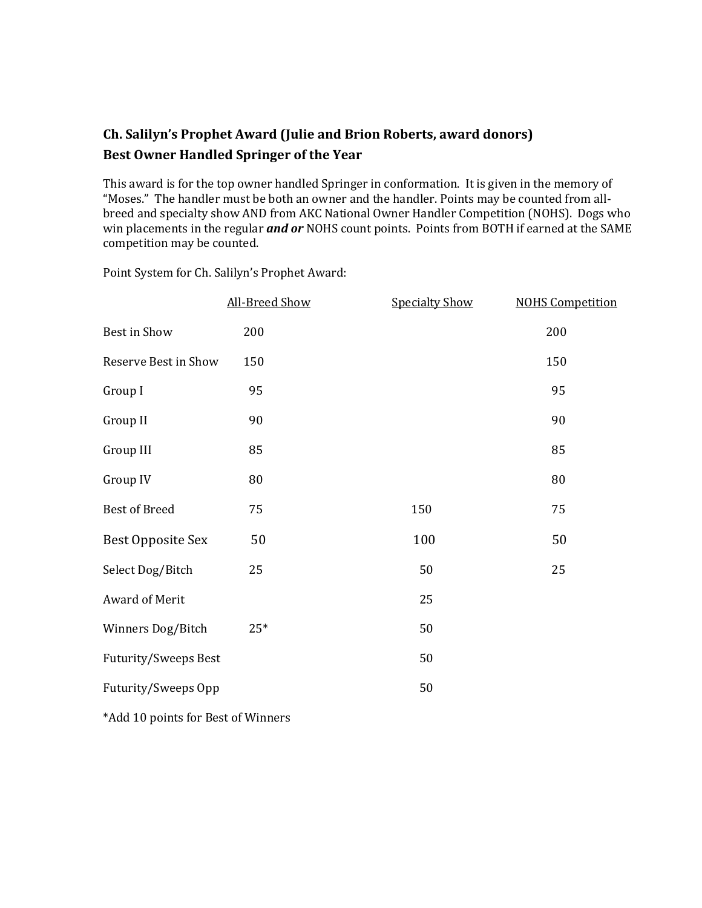# **Ch. Salilyn's Prophet Award (Julie and Brion Roberts, award donors) Best Owner Handled Springer of the Year**

This award is for the top owner handled Springer in conformation. It is given in the memory of "Moses." The handler must be both an owner and the handler. Points may be counted from allbreed and specialty show AND from AKC National Owner Handler Competition (NOHS). Dogs who win placements in the regular *and or* NOHS count points. Points from BOTH if earned at the SAME competition may be counted.

|                                    | All-Breed Show | <b>Specialty Show</b> | <b>NOHS Competition</b> |
|------------------------------------|----------------|-----------------------|-------------------------|
| Best in Show                       | 200            |                       | 200                     |
| Reserve Best in Show               | 150            |                       | 150                     |
| Group I                            | 95             |                       | 95                      |
| Group II                           | 90             |                       | 90                      |
| Group III                          | 85             |                       | 85                      |
| Group IV                           | 80             |                       | 80                      |
| <b>Best of Breed</b>               | 75             | 150                   | 75                      |
| <b>Best Opposite Sex</b>           | 50             | 100                   | 50                      |
| Select Dog/Bitch                   | 25             | 50                    | 25                      |
| Award of Merit                     |                | 25                    |                         |
| Winners Dog/Bitch                  | $25*$          | 50                    |                         |
| <b>Futurity/Sweeps Best</b>        |                | 50                    |                         |
| Futurity/Sweeps Opp                |                | 50                    |                         |
| *Add 10 points for Best of Winners |                |                       |                         |

Point System for Ch. Salilyn's Prophet Award: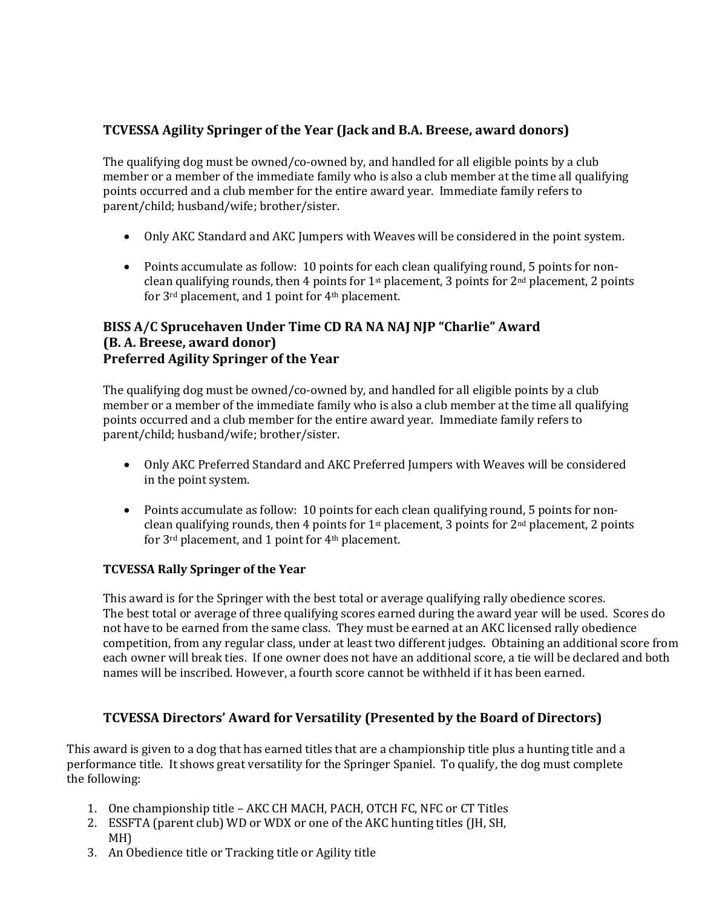# **TCVESSA Agility Springer of the Year (Jack and B.A. Breese, award donors)**

The qualifying dog must be owned/co-owned by, and handled for all eligible points by a club member or a member of the immediate family who is also a club member at the time all qualifying points occurred and a club member for the entire award year. Immediate family refers to parent/child; husband/wife; brother/sister.

- Only AKC Standard and AKC Jumpers with Weaves will be considered in the point system.
- Points accumulate as follow: 10 points for each clean qualifying round, 5 points for nonclean qualifying rounds, then 4 points for  $1<sup>st</sup>$  placement, 3 points for  $2<sup>nd</sup>$  placement, 2 points for 3rd placement, and 1 point for 4th placement.

# **BISS A/C Sprucehaven Under Time CD RA NA NAJ NJP "Charlie" Award (B. A. Breese, award donor) Preferred Agility Springer of the Year**

The qualifying dog must be owned/co-owned by, and handled for all eligible points by a club member or a member of the immediate family who is also a club member at the time all qualifying points occurred and a club member for the entire award year. Immediate family refers to parent/child; husband/wife; brother/sister.

- Only AKC Preferred Standard and AKC Preferred Jumpers with Weaves will be considered in the point system.
- Points accumulate as follow: 10 points for each clean qualifying round, 5 points for nonclean qualifying rounds, then 4 points for  $1<sup>st</sup>$  placement, 3 points for  $2<sup>nd</sup>$  placement, 2 points for 3rd placement, and 1 point for 4th placement.

# **TCVESSA Rally Springer of the Year**

This award is for the Springer with the best total or average qualifying rally obedience scores. The best total or average of three qualifying scores earned during the award year will be used. Scores do not have to be earned from the same class. They must be earned at an AKC licensed rally obedience competition, from any regular class, under at least two different judges. Obtaining an additional score from each owner will break ties. If one owner does not have an additional score, a tie will be declared and both names will be inscribed. However, a fourth score cannot be withheld if it has been earned.

# **TCVESSA Directors' Award for Versatility (Presented by the Board of Directors)**

This award is given to a dog that has earned titles that are a championship title plus a hunting title and a performance title. It shows great versatility for the Springer Spaniel. To qualify, the dog must complete the following:

- 1. One championship title AKC CH MACH, PACH, OTCH FC, NFC or CT Titles
- 2. ESSFTA (parent club) WD or WDX or one of the AKC hunting titles (JH, SH, MH)
- 3. An Obedience title or Tracking title or Agility title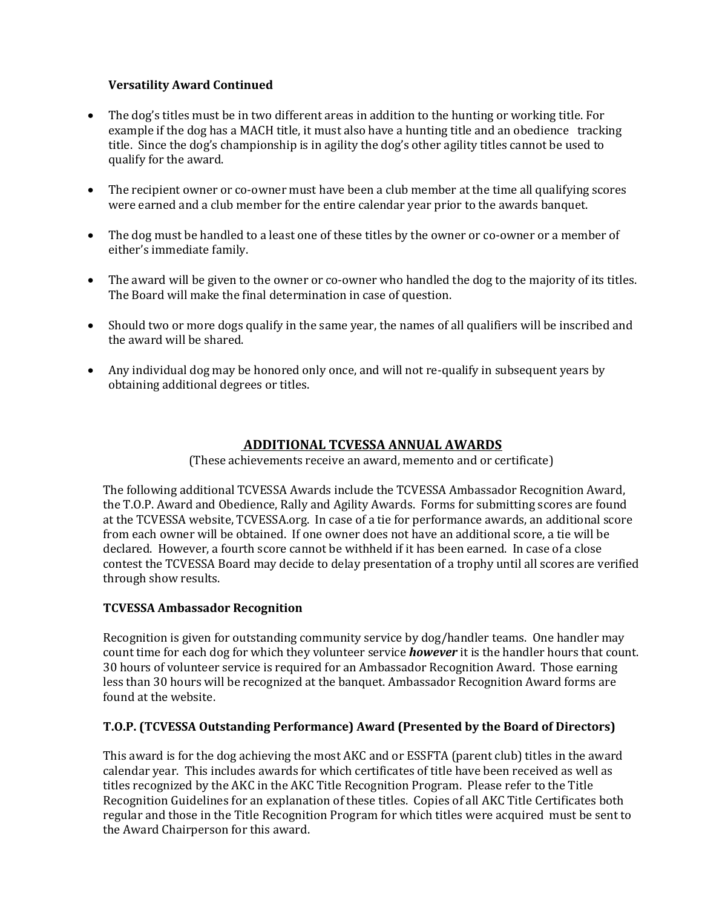# **Versatility Award Continued**

- The dog's titles must be in two different areas in addition to the hunting or working title. For example if the dog has a MACH title, it must also have a hunting title and an obedience tracking title. Since the dog's championship is in agility the dog's other agility titles cannot be used to qualify for the award.
- The recipient owner or co-owner must have been a club member at the time all qualifying scores were earned and a club member for the entire calendar year prior to the awards banquet.
- The dog must be handled to a least one of these titles by the owner or co-owner or a member of either's immediate family.
- The award will be given to the owner or co-owner who handled the dog to the majority of its titles. The Board will make the final determination in case of question.
- Should two or more dogs qualify in the same year, the names of all qualifiers will be inscribed and the award will be shared.
- Any individual dog may be honored only once, and will not re-qualify in subsequent years by obtaining additional degrees or titles.

# **ADDITIONAL TCVESSA ANNUAL AWARDS**

(These achievements receive an award, memento and or certificate)

The following additional TCVESSA Awards include the TCVESSA Ambassador Recognition Award, the T.O.P. Award and Obedience, Rally and Agility Awards. Forms for submitting scores are found at the TCVESSA website, TCVESSA.org. In case of a tie for performance awards, an additional score from each owner will be obtained. If one owner does not have an additional score, a tie will be declared. However, a fourth score cannot be withheld if it has been earned. In case of a close contest the TCVESSA Board may decide to delay presentation of a trophy until all scores are verified through show results.

# **TCVESSA Ambassador Recognition**

Recognition is given for outstanding community service by dog/handler teams. One handler may count time for each dog for which they volunteer service *however* it is the handler hours that count. 30 hours of volunteer service is required for an Ambassador Recognition Award. Those earning less than 30 hours will be recognized at the banquet. Ambassador Recognition Award forms are found at the website.

# **T.O.P. (TCVESSA Outstanding Performance) Award (Presented by the Board of Directors)**

This award is for the dog achieving the most AKC and or ESSFTA (parent club) titles in the award calendar year. This includes awards for which certificates of title have been received as well as titles recognized by the AKC in the AKC Title Recognition Program. Please refer to the Title Recognition Guidelines for an explanation of these titles. Copies of all AKC Title Certificates both regular and those in the Title Recognition Program for which titles were acquired must be sent to the Award Chairperson for this award.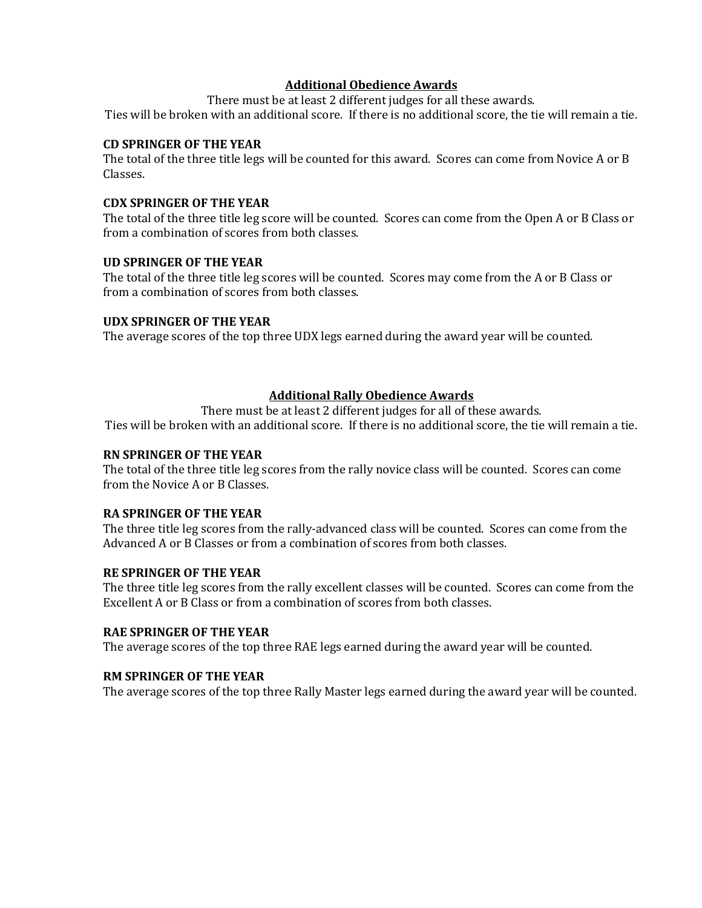#### **Additional Obedience Awards**

There must be at least 2 different judges for all these awards. Ties will be broken with an additional score. If there is no additional score, the tie will remain a tie.

#### **CD SPRINGER OF THE YEAR**

The total of the three title legs will be counted for this award. Scores can come from Novice A or B Classes.

#### **CDX SPRINGER OF THE YEAR**

The total of the three title leg score will be counted. Scores can come from the Open A or B Class or from a combination of scores from both classes.

#### **UD SPRINGER OF THE YEAR**

The total of the three title leg scores will be counted. Scores may come from the A or B Class or from a combination of scores from both classes.

#### **UDX SPRINGER OF THE YEAR**

The average scores of the top three UDX legs earned during the award year will be counted.

# **Additional Rally Obedience Awards**

There must be at least 2 different judges for all of these awards.

Ties will be broken with an additional score. If there is no additional score, the tie will remain a tie.

#### **RN SPRINGER OF THE YEAR**

The total of the three title leg scores from the rally novice class will be counted. Scores can come from the Novice A or B Classes.

#### **RA SPRINGER OF THE YEAR**

The three title leg scores from the rally-advanced class will be counted. Scores can come from the Advanced A or B Classes or from a combination of scores from both classes.

#### **RE SPRINGER OF THE YEAR**

The three title leg scores from the rally excellent classes will be counted. Scores can come from the Excellent A or B Class or from a combination of scores from both classes.

#### **RAE SPRINGER OF THE YEAR**

The average scores of the top three RAE legs earned during the award year will be counted.

#### **RM SPRINGER OF THE YEAR**

The average scores of the top three Rally Master legs earned during the award year will be counted.